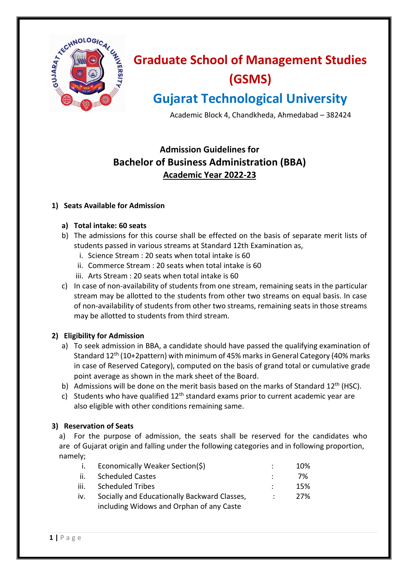

# **Graduate School of Management Studies (GSMS)**

## **Gujarat Technological University**

Academic Block 4, Chandkheda, Ahmedabad – 382424

### **Admission Guidelines for Bachelor of Business Administration (BBA) Academic Year 2022-23**

#### **1) Seats Available for Admission**

#### **a) Total intake: 60 seats**

- b) The admissions for this course shall be effected on the basis of separate merit lists of students passed in various streams at Standard 12th Examination as,
	- i. Science Stream : 20 seats when total intake is 60
	- ii. Commerce Stream : 20 seats when total intake is 60
	- iii. Arts Stream : 20 seats when total intake is 60
- c) In case of non-availability of students from one stream, remaining seats in the particular stream may be allotted to the students from other two streams on equal basis. In case of non-availability of students from other two streams, remaining seats in those streams may be allotted to students from third stream.

#### **2) Eligibility for Admission**

- a) To seek admission in BBA, a candidate should have passed the qualifying examination of Standard 12<sup>th</sup> (10+2pattern) with minimum of 45% marks in General Category (40% marks in case of Reserved Category), computed on the basis of grand total or cumulative grade point average as shown in the mark sheet of the Board.
- b) Admissions will be done on the merit basis based on the marks of Standard  $12<sup>th</sup>$  (HSC).
- c) Students who have qualified  $12<sup>th</sup>$  standard exams prior to current academic year are also eligible with other conditions remaining same.

#### **3) Reservation of Seats**

a) For the purpose of admission, the seats shall be reserved for the candidates who are of Gujarat origin and falling under the following categories and in following proportion, namely;

| -1. - | Economically Weaker Section(\$)              | 10%  |
|-------|----------------------------------------------|------|
| ii.   | <b>Scheduled Castes</b>                      | 7%   |
| iii.  | <b>Scheduled Tribes</b>                      | 15%  |
| iv.   | Socially and Educationally Backward Classes, | -27% |
|       | including Widows and Orphan of any Caste     |      |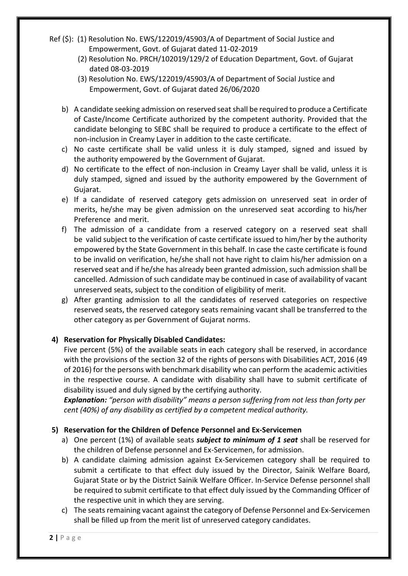- Ref (\$): (1) Resolution No. EWS/122019/45903/A of Department of Social Justice and Empowerment, Govt. of Gujarat dated 11-02-2019
	- (2) Resolution No. PRCH/102019/129/2 of Education Department, Govt. of Gujarat dated 08-03-2019
	- (3) Resolution No. EWS/122019/45903/A of Department of Social Justice and Empowerment, Govt. of Gujarat dated 26/06/2020
	- b) A candidate seeking admission on reserved seat shall be required to produce a Certificate of Caste/Income Certificate authorized by the competent authority. Provided that the candidate belonging to SEBC shall be required to produce a certificate to the effect of non-inclusion in Creamy Layer in addition to the caste certificate.
	- c) No caste certificate shall be valid unless it is duly stamped, signed and issued by the authority empowered by the Government of Gujarat.
	- d) No certificate to the effect of non-inclusion in Creamy Layer shall be valid, unless it is duly stamped, signed and issued by the authority empowered by the Government of Gujarat.
	- e) If a candidate of reserved category gets admission on unreserved seat in order of merits, he/she may be given admission on the unreserved seat according to his/her Preference and merit.
	- f) The admission of a candidate from a reserved category on a reserved seat shall be valid subject to the verification of caste certificate issued to him/her by the authority empowered by the State Government in this behalf. In case the caste certificate is found to be invalid on verification, he/she shall not have right to claim his/her admission on a reserved seat and if he/she has already been granted admission, such admission shall be cancelled. Admission of such candidate may be continued in case of availability of vacant unreserved seats, subject to the condition of eligibility of merit.
	- g) After granting admission to all the candidates of reserved categories on respective reserved seats, the reserved category seats remaining vacant shall be transferred to the other category as per Government of Gujarat norms.

#### **4) Reservation for Physically Disabled Candidates:**

Five percent (5%) of the available seats in each category shall be reserved, in accordance with the provisions of the section 32 of the rights of persons with Disabilities ACT, 2016 (49 of 2016) for the persons with benchmark disability who can perform the academic activities in the respective course. A candidate with disability shall have to submit certificate of disability issued and duly signed by the certifying authority.

*Explanation: "person with disability" means a person suffering from not less than forty per cent (40%) of any disability as certified by a competent medical authority.*

#### **5) Reservation for the Children of Defence Personnel and Ex-Servicemen**

- a) One percent (1%) of available seats *subject to minimum of 1 seat* shall be reserved for the children of Defense personnel and Ex-Servicemen, for admission.
- b) A candidate claiming admission against Ex-Servicemen category shall be required to submit a certificate to that effect duly issued by the Director, Sainik Welfare Board, Gujarat State or by the District Sainik Welfare Officer. In-Service Defense personnel shall be required to submit certificate to that effect duly issued by the Commanding Officer of the respective unit in which they are serving.
- c) The seats remaining vacant against the category of Defense Personnel and Ex-Servicemen shall be filled up from the merit list of unreserved category candidates.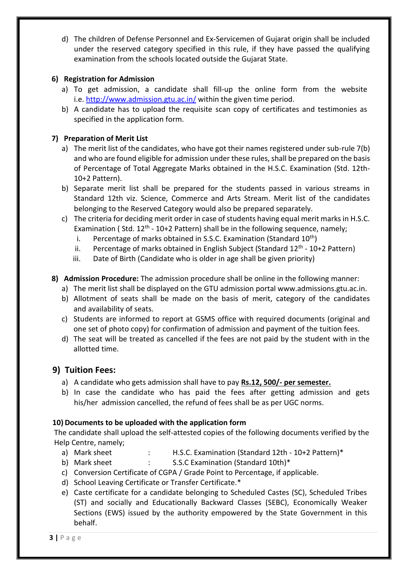d) The children of Defense Personnel and Ex-Servicemen of Gujarat origin shall be included under the reserved category specified in this rule, if they have passed the qualifying examination from the schools located outside the Gujarat State.

#### **6) Registration for Admission**

- a) To get admission, a candidate shall fill-up the online form from the website i.e.<http://www.admission.gtu.ac.in/> [within the given time period.](http://pharmdcourse.gtu.ac.in/%20w)
- b) A candidate has to upload the requisite scan copy of certificates and testimonies as specified in the application form.

#### **7) Preparation of Merit List**

- a) The merit list of the candidates, who have got their names registered under sub-rule 7(b) and who are found eligible for admission under these rules, shall be prepared on the basis of Percentage of Total Aggregate Marks obtained in the H.S.C. Examination (Std. 12th-10+2 Pattern).
- b) Separate merit list shall be prepared for the students passed in various streams in Standard 12th viz. Science, Commerce and Arts Stream. Merit list of the candidates belonging to the Reserved Category would also be prepared separately.
- c) The criteria for deciding merit order in case of students having equal merit marks in H.S.C. Examination (Std.  $12<sup>th</sup> - 10+2$  Pattern) shall be in the following sequence, namely;
	- i. Percentage of marks obtained in S.S.C. Examination (Standard  $10<sup>th</sup>$ )
	- ii. Percentage of marks obtained in English Subject (Standard 12<sup>th</sup> 10+2 Pattern)
	- iii. Date of Birth (Candidate who is older in age shall be given priority)
- **8) Admission Procedure:** The admission procedure shall be online in the following manner:
	- a) The merit list shall be displayed on the GTU admission portal www.admissions.gtu.ac.in.
	- b) Allotment of seats shall be made on the basis of merit, category of the candidates and availability of seats.
	- c) Students are informed to report at GSMS office with required documents (original and one set of photo copy) for confirmation of admission and payment of the tuition fees.
	- d) The seat will be treated as cancelled if the fees are not paid by the student with in the allotted time.

#### **9) Tuition Fees:**

- a) A candidate who gets admission shall have to pay **Rs.12, 500/- per semester.**
- b) In case the candidate who has paid the fees after getting admission and gets his/her admission cancelled, the refund of fees shall be as per UGC norms.

#### **10) Documents to be uploaded with the application form**

The candidate shall upload the self-attested copies of the following documents verified by the Help Centre, namely;

- a) Mark sheet : H.S.C. Examination (Standard 12th 10+2 Pattern)\*
- b) Mark sheet : S.S.C Examination (Standard 10th)\*
- c) Conversion Certificate of CGPA / Grade Point to Percentage, if applicable.
- d) School Leaving Certificate or Transfer Certificate.\*
- e) Caste certificate for a candidate belonging to Scheduled Castes (SC), Scheduled Tribes (ST) and socially and Educationally Backward Classes (SEBC), Economically Weaker Sections (EWS) issued by the authority empowered by the State Government in this behalf.